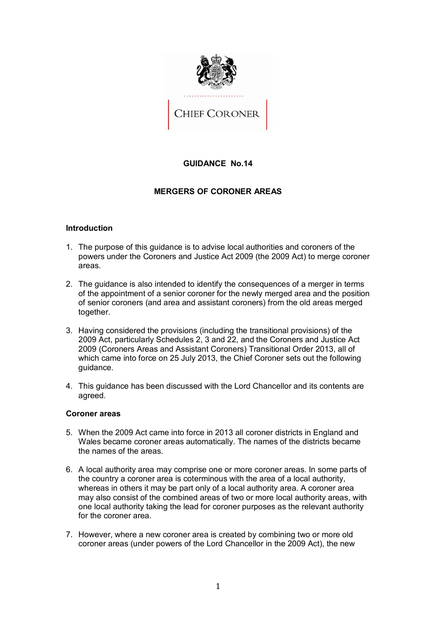

# **GUIDANCE No.14**

# **MERGERS OF CORONER AREAS**

#### **Introduction**

- 1. The purpose of this guidance is to advise local authorities and coroners of the powers under the Coroners and Justice Act 2009 (the 2009 Act) to merge coroner areas.
- areas.<br>2. The guidance is also intended to identify the consequences of a merger in terms of the appointment of a senior coroner for the newly merged area and the position of senior coroners (and area and assistant coroners) from the old areas merged together.
- 3. Having considered the provisions (including the transitional provisions) of the 2009 Act, particularly Schedules 2, 3 and 22, and the Coroners and Justice Act 2009 (Coroners Areas and Assistant Coroners) Transitional Order 2013, all of which came into force on 25 July 2013, the Chief Coroner sets out the following guidance.
- 4. This guidance has been discussed with the Lord Chancellor and its contents are agreed.

# **Coroner areas**

- 5. When the 2009 Act came into force in 2013 all coroner districts in England and Wales became coroner areas automatically. The names of the districts became the names of the areas.
- 6. A local authority area may comprise one or more coroner areas. In some parts of the country a coroner area is coterminous with the area of a local authority, whereas in others it may be part only of a local authority area. A coroner area may also consist of the combined areas of two or more local authority areas, with one local authority taking the lead for coroner purposes as the relevant authority for the coroner area.
- 7. However, where a new coroner area is created by combining two or more old coroner areas (under powers of the Lord Chancellor in the 2009 Act), the new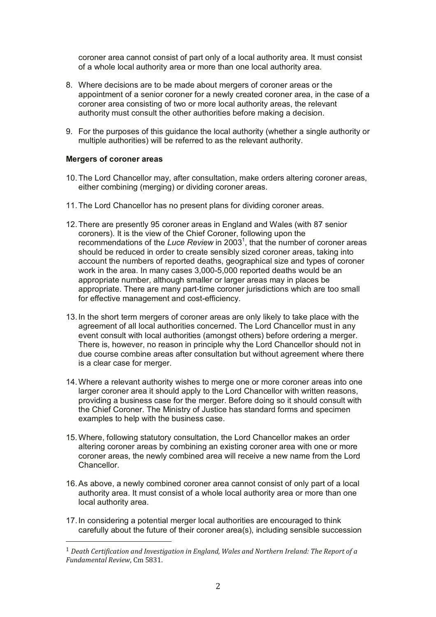coroner area cannot consist of part only of a local authority area. It must consist of a whole local authority area or more than one local authority area.

- 8. Where decisions are to be made about mergers of coroner areas or the appointment of a senior coroner for a newly created coroner area, in the case of a coroner area consisting of two or more local authority areas, the relevant authority must consult the other authorities before making a decision.
- 9. For the purposes of this guidance the local authority (whether a single authority or multiple authorities) will be referred to as the relevant authority.

#### **Mergers of coroner areas**

- 10. The Lord Chancellor may, after consultation, make orders altering coroner areas, either combining (merging) or dividing coroner areas.
- 11. The Lord Chancellor has no present plans for dividing coroner areas.
- 12. There are presently 95 coroner areas in England and Wales (with 87 senior coroners). It is the view of the Chief Coroner, following upon the recommendations of the Luce Review in 2003<sup>1</sup>, that the number of coroner areas should be reduced in order to create sensibly sized coroner areas, taking into account the numbers of reported deaths, geographical size and types of coroner work in the area. In many cases 3,000-5,000 reported deaths would be an appropriate number, although smaller or larger areas may in places be appropriate. There are many part-time coroner jurisdictions which are too small for effective management and cost-efficiency.
- 13. In the short term mergers of coroner areas are only likely to take place with the agreement of all local authorities concerned. The Lord Chancellor must in any event consult with local authorities (amongst others) before ordering a merger. There is, however, no reason in principle why the Lord Chancellor should not in due course combine areas after consultation but without agreement where there is a clear case for merger.
- 14. Where a relevant authority wishes to merge one or more coroner areas into one larger coroner area it should apply to the Lord Chancellor with written reasons, providing a business case for the merger. Before doing so it should consult with the Chief Coroner. The Ministry of Justice has standard forms and specimen examples to help with the business case.
- 15. Where, following statutory consultation, the Lord Chancellor makes an order altering coroner areas by combining an existing coroner area with one or more coroner areas, the newly combined area will receive a new name from the Lord Chancellor.
- 16. As above, a newly combined coroner area cannot consist of only part of a local authority area. It must consist of a whole local authority area or more than one local authority area.
- 17. In considering a potential merger local authorities are encouraged to think carefully about the future of their coroner area(s), including sensible succession

<sup>&</sup>lt;sup>1</sup> Death Certification and Investigation in England, Wales and Northern Ireland: The Report of a Fundamental Review, Cm 5831.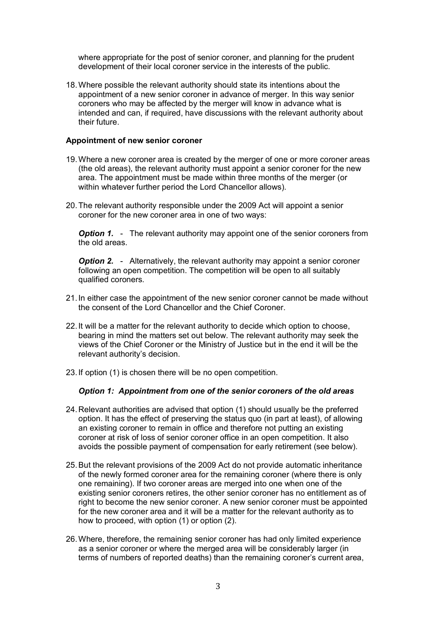where appropriate for the post of senior coroner, and planning for the prudent development of their local coroner service in the interests of the public.

 18.Where possible the relevant authority should state its intentions about the appointment of a new senior coroner in advance of merger. In this way senior coroners who may be affected by the merger will know in advance what is intended and can, if required, have discussions with the relevant authority about their future.

# **Appointment of new senior coroner**

- 19.Where a new coroner area is created by the merger of one or more coroner areas (the old areas), the relevant authority must appoint a senior coroner for the new area. The appointment must be made within three months of the merger (or within whatever further period the Lord Chancellor allows).
- 20.The relevant authority responsible under the 2009 Act will appoint a senior coroner for the new coroner area in one of two ways:

**Option 1.** - The relevant authority may appoint one of the senior coroners from the old areas.

**Option 2.** - Alternatively, the relevant authority may appoint a senior coroner following an open competition. The competition will be open to all suitably qualified coroners.

- 21.In either case the appointment of the new senior coroner cannot be made without the consent of the Lord Chancellor and the Chief Coroner.
- 22.It will be a matter for the relevant authority to decide which option to choose, bearing in mind the matters set out below. The relevant authority may seek the views of the Chief Coroner or the Ministry of Justice but in the end it will be the relevant authority's decision.
- relevant authority's decision. 23.If option (1) is chosen there will be no open competition.

#### *Option 1: Appointment from one of the senior coroners of the old areas*

- 24.Relevant authorities are advised that option (1) should usually be the preferred option. It has the effect of preserving the status quo (in part at least), of allowing an existing coroner to remain in office and therefore not putting an existing coroner at risk of loss of senior coroner office in an open competition. It also avoids the possible payment of compensation for early retirement (see below).
- 25.But the relevant provisions of the 2009 Act do not provide automatic inheritance of the newly formed coroner area for the remaining coroner (where there is only one remaining). If two coroner areas are merged into one when one of the existing senior coroners retires, the other senior coroner has no entitlement as of right to become the new senior coroner. A new senior coroner must be appointed for the new coroner area and it will be a matter for the relevant authority as to how to proceed, with option (1) or option (2).
- 26.Where, therefore, the remaining senior coroner has had only limited experience as a senior coroner or where the merged area will be considerably larger (in terms of numbers of reported deaths) than the remaining coroner's current area,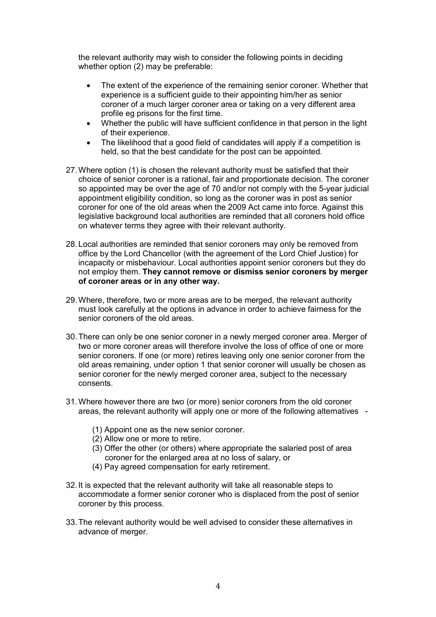the relevant authority may wish to consider the following points in deciding whether option (2) may be preferable:

- experience is a sufficient guide to their appointing him/her as senior coroner of a much larger coroner area or taking on a very different area profile eg prisons for the first time. The extent of the experience of the remaining senior coroner. Whether that
- of their experience. Whether the public will have sufficient confidence in that person in the light
- held, so that the best candidate for the post can be appointed. The likelihood that a good field of candidates will apply if a competition is
- 27.Where option (1) is chosen the relevant authority must be satisfied that their choice of senior coroner is a rational, fair and proportionate decision. The coroner so appointed may be over the age of 70 and/or not comply with the 5-year judicial appointment eligibility condition, so long as the coroner was in post as senior coroner for one of the old areas when the 2009 Act came into force. Against this legislative background local authorities are reminded that all coroners hold office on whatever terms they agree with their relevant authority.
- 28.Local authorities are reminded that senior coroners may only be removed from office by the Lord Chancellor (with the agreement of the Lord Chief Justice) for incapacity or misbehaviour. Local authorities appoint senior coroners but they do  not employ them. **They cannot remove or dismiss senior coroners by merger of coroner areas or in any other way.**
- 29.Where, therefore, two or more areas are to be merged, the relevant authority must look carefully at the options in advance in order to achieve fairness for the senior coroners of the old areas.
- 30.There can only be one senior coroner in a newly merged coroner area. Merger of two or more coroner areas will therefore involve the loss of office of one or more senior coroners. If one (or more) retires leaving only one senior coroner from the old areas remaining, under option 1 that senior coroner will usually be chosen as senior coroner for the newly merged coroner area, subject to the necessary consents
- consents. 31.Where however there are two (or more) senior coroners from the old coroner areas, the relevant authority will apply one or more of the following alternatives -
	- (1) Appoint one as the new senior coroner.
	- (2) Allow one or more to retire.
	- (3) Offer the other (or others) where appropriate the salaried post of area coroner for the enlarged area at no loss of salary, or
	- (4) Pay agreed compensation for early retirement.
- 32.It is expected that the relevant authority will take all reasonable steps to accommodate a former senior coroner who is displaced from the post of senior coroner by this process.
- 33.The relevant authority would be well advised to consider these alternatives in advance of merger.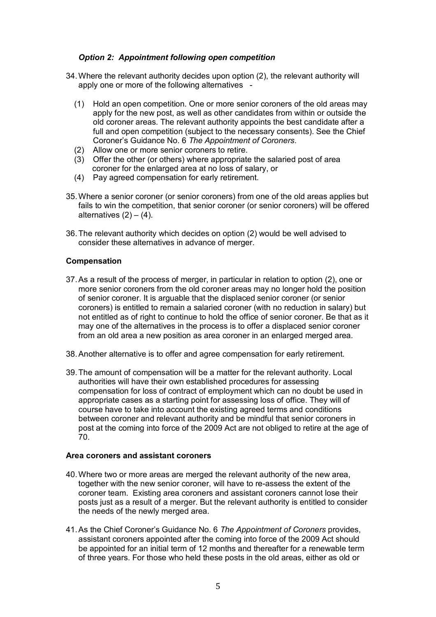# *Option 2: Appointment following open competition*

- 34.Where the relevant authority decides upon option (2), the relevant authority will apply one or more of the following alternatives -
	- (1) Hold an open competition. One or more senior coroners of the old areas may apply for the new post, as well as other candidates from within or outside the old coroner areas. The relevant authority appoints the best candidate after a full and open competition (subject to the necessary consents). See the Chief Coroner's Guidance No. 6 *The Appointment of Coroners*.
	- (2) Allow one or more senior coroners to retire.
	- (3) Offer the other (or others) where appropriate the salaried post of area coroner for the enlarged area at no loss of salary, or
	- (4) Pay agreed compensation for early retirement.
- 35.Where a senior coroner (or senior coroners) from one of the old areas applies but fails to win the competition, that senior coroner (or senior coroners) will be offered alternatives (2) – (4).
- 36.The relevant authority which decides on option (2) would be well advised to consider these alternatives in advance of merger.

#### **Compensation**

- 37.As a result of the process of merger, in particular in relation to option (2), one or more senior coroners from the old coroner areas may no longer hold the position of senior coroner. It is arguable that the displaced senior coroner (or senior coroners) is entitled to remain a salaried coroner (with no reduction in salary) but not entitled as of right to continue to hold the office of senior coroner. Be that as it may one of the alternatives in the process is to offer a displaced senior coroner from an old area a new position as area coroner in an enlarged merged area.
- 38.Another alternative is to offer and agree compensation for early retirement.
- 39.The amount of compensation will be a matter for the relevant authority. Local authorities will have their own established procedures for assessing compensation for loss of contract of employment which can no doubt be used in appropriate cases as a starting point for assessing loss of office. They will of course have to take into account the existing agreed terms and conditions between coroner and relevant authority and be mindful that senior coroners in post at the coming into force of the 2009 Act are not obliged to retire at the age of 70.

# **Area coroners and assistant coroners**

- 40.Where two or more areas are merged the relevant authority of the new area, together with the new senior coroner, will have to re-assess the extent of the coroner team. Existing area coroners and assistant coroners cannot lose their posts just as a result of a merger. But the relevant authority is entitled to consider the needs of the newly merged area.
- 41.As the Chief Coroner's Guidance No. 6 *The Appointment of Coroners* provides, assistant coroners appointed after the coming into force of the 2009 Act should be appointed for an initial term of 12 months and thereafter for a renewable term of three years. For those who held these posts in the old areas, either as old or